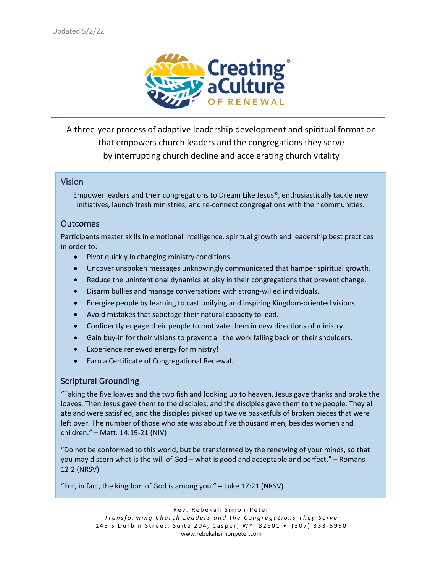

A three-year process of adaptive leadership development and spiritual formation that empowers church leaders and the congregations they serve by interrupting church decline and accelerating church vitality

#### Vision

Empower leaders and their congregations to Dream Like Jesus®, enthusiastically tackle new initiatives, launch fresh ministries, and re-connect congregations with their communities.

#### **Outcomes**

Participants master skills in emotional intelligence, spiritual growth and leadership best practices in order to:

- Pivot quickly in changing ministry conditions.
- Uncover unspoken messages unknowingly communicated that hamper spiritual growth.
- Reduce the unintentional dynamics at play in their congregations that prevent change.
- Disarm bullies and manage conversations with strong-willed individuals.
- Energize people by learning to cast unifying and inspiring Kingdom-oriented visions.
- Avoid mistakes that sabotage their natural capacity to lead.
- Confidently engage their people to motivate them in new directions of ministry.
- Gain buy-in for their visions to prevent all the work falling back on their shoulders.
- Experience renewed energy for ministry!
- Earn a Certificate of Congregational Renewal.

#### Scriptural Grounding

"Taking the five loaves and the two fish and looking up to heaven, Jesus gave thanks and broke the loaves. Then Jesus gave them to the disciples, and the disciples gave them to the people. They all ate and were satisfied, and the disciples picked up twelve basketfuls of broken pieces that were left over. The number of those who ate was about five thousand men, besides women and children." – Matt. 14:19-21 (NIV)

"Do not be conformed to this world, but be transformed by the renewing of your minds, so that you may discern what is the will of God – what is good and acceptable and perfect." – Romans 12:2 (NRSV)

"For, in fact, the kingdom of God is among you." – Luke 17:21 (NRSV)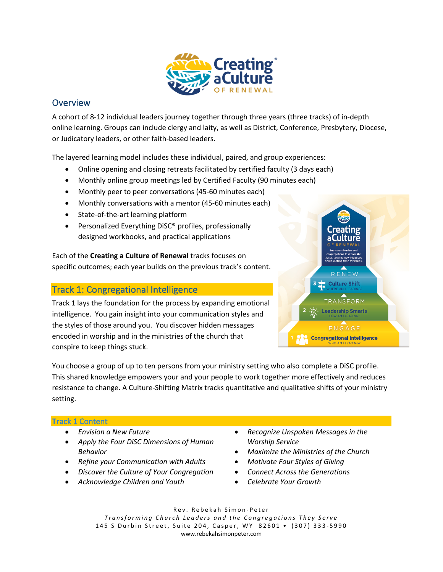

# **Overview**

A cohort of 8-12 individual leaders journey together through three years (three tracks) of in-depth online learning. Groups can include clergy and laity, as well as District, Conference, Presbytery, Diocese, or Judicatory leaders, or other faith-based leaders.

The layered learning model includes these individual, paired, and group experiences:

- Online opening and closing retreats facilitated by certified faculty (3 days each)
- Monthly online group meetings led by Certified Faculty (90 minutes each)
- Monthly peer to peer conversations (45-60 minutes each)
- Monthly conversations with a mentor (45-60 minutes each)
- State-of-the-art learning platform
- Personalized Everything DiSC® profiles, professionally designed workbooks, and practical applications

Each of the **Creating a Culture of Renewal** tracks focuses on specific outcomes; each year builds on the previous track's content.

## Track 1: Congregational Intelligence

Track 1 lays the foundation for the process by expanding emotional intelligence. You gain insight into your communication styles and the styles of those around you. You discover hidden messages encoded in worship and in the ministries of the church that conspire to keep things stuck.



You choose a group of up to ten persons from your ministry setting who also complete a DiSC profile. This shared knowledge empowers your and your people to work together more effectively and reduces resistance to change. A Culture-Shifting Matrix tracks quantitative and qualitative shifts of your ministry setting.

#### **Tr**ack 1 Content

- *Envision a New Future*
- *Apply the Four DiSC Dimensions of Human Behavior*
- *Refine your Communication with Adults*
- *Discover the Culture of Your Congregation*
- *Acknowledge Children and Youth*
- *Recognize Unspoken Messages in the Worship Service*
	- *Maximize the Ministries of the Church*
- *Motivate Four Styles of Giving*
- *Connect Across the Generations*
- *Celebrate Your Growth*

Rev. Rebekah Simon - Peter *Transforming Church Leaders and the Congregations They Serve* 145 S Durbin Street, Suite 204, Casper, WY 82601 • (307) 333 - 5990 www.rebekahsimonpeter.com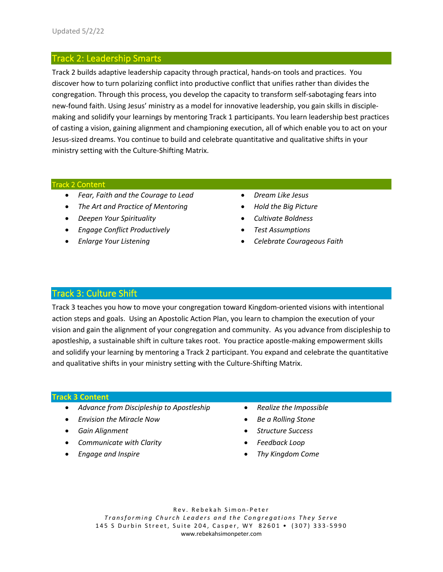## Track 2: Leadership Smarts

Track 2 builds adaptive leadership capacity through practical, hands-on tools and practices. You discover how to turn polarizing conflict into productive conflict that unifies rather than divides the congregation. Through this process, you develop the capacity to transform self-sabotaging fears into new-found faith. Using Jesus' ministry as a model for innovative leadership, you gain skills in disciplemaking and solidify your learnings by mentoring Track 1 participants. You learn leadership best practices of casting a vision, gaining alignment and championing execution, all of which enable you to act on your Jesus-sized dreams. You continue to build and celebrate quantitative and qualitative shifts in your ministry setting with the Culture-Shifting Matrix.

#### Track 2 Content

- *Fear, Faith and the Courage to Lead*
- *The Art and Practice of Mentoring*
- *Deepen Your Spirituality*
- *Engage Conflict Productively*
- *Enlarge Your Listening*
- *Dream Like Jesus*
- *Hold the Big Picture*
- *Cultivate Boldness*
- *Test Assumptions*
- *Celebrate Courageous Faith*

## Track 3: Culture Shift

Track 3 teaches you how to move your congregation toward Kingdom-oriented visions with intentional action steps and goals. Using an Apostolic Action Plan, you learn to champion the execution of your vision and gain the alignment of your congregation and community. As you advance from discipleship to apostleship, a sustainable shift in culture takes root. You practice apostle-making empowerment skills and solidify your learning by mentoring a Track 2 participant. You expand and celebrate the quantitative and qualitative shifts in your ministry setting with the Culture-Shifting Matrix.

#### **Track 3 Content**

- *Advance from Discipleship to Apostleship*
- *Envision the Miracle Now*
- *Gain Alignment*
- *Communicate with Clarity*
- *Engage and Inspire*
- *Realize the Impossible*
- *Be a Rolling Stone*
- *Structure Success*
- *Feedback Loop*
- *Thy Kingdom Come*

Rev. Rebekah Simon - Peter *Transforming Church Leaders and the Congregations They Serve* 145 S Durbin Street, Suite 204, Casper, WY 82601 • (307) 333 - 5990 www.rebekahsimonpeter.com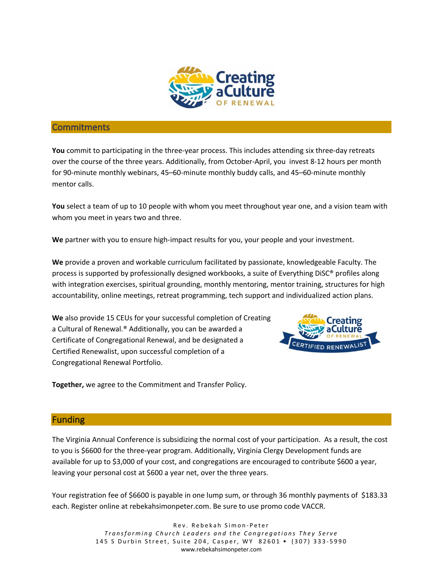

#### **Commitments**

**You** commit to participating in the three-year process. This includes attending six three-day retreats over the course of the three years. Additionally, from October-April, you invest 8-12 hours per month for 90-minute monthly webinars, 45–60-minute monthly buddy calls, and 45–60-minute monthly mentor calls.

**You** select a team of up to 10 people with whom you meet throughout year one, and a vision team with whom you meet in years two and three.

**We** partner with you to ensure high-impact results for you, your people and your investment.

**We** provide a proven and workable curriculum facilitated by passionate, knowledgeable Faculty. The process is supported by professionally designed workbooks, a suite of Everything DiSC® profiles along with integration exercises, spiritual grounding, monthly mentoring, mentor training, structures for high accountability, online meetings, retreat programming, tech support and individualized action plans.

**We** also provide 15 CEUs for your successful completion of Creating a Cultural of Renewal.® Additionally, you can be awarded a Certificate of Congregational Renewal, and be designated a Certified Renewalist, upon successful completion of a Congregational Renewal Portfolio.



**Together,** we agree to the Commitment and Transfer Policy.

#### **Funding**

The Virginia Annual Conference is subsidizing the normal cost of your participation. As a result, the cost to you is \$6600 for the three-year program. Additionally, Virginia Clergy Development funds are available for up to \$3,000 of your cost, and congregations are encouraged to contribute \$600 a year, leaving your personal cost at \$600 a year net, over the three years.

Your registration fee of \$6600 is payable in one lump sum, or through 36 monthly payments of \$183.33 each. Register online at rebekahsimonpeter.com. Be sure to use promo code VACCR.

> Rev. Rebekah Simon - Peter *Transforming Church Leaders and the Congregations They Serve* 145 S Durbin Street, Suite 204, Casper, WY 82601 • (307) 333 - 5990 www.rebekahsimonpeter.com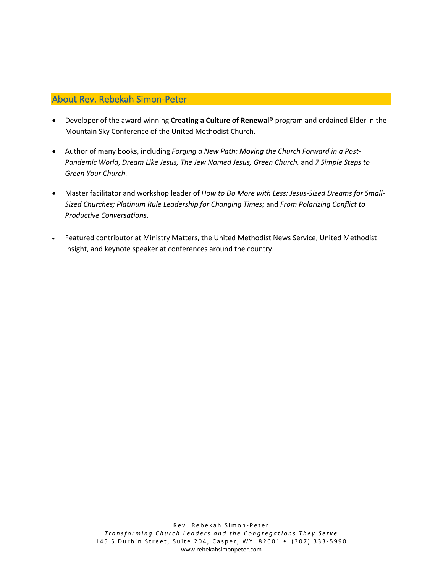## About Rev. Rebekah Simon-Peter

- Developer of the award winning **Creating a Culture of Renewal®** program and ordained Elder in the Mountain Sky Conference of the United Methodist Church.
- Author of many books, including *Forging a New Path: Moving the Church Forward in a Post-Pandemic World*, *Dream Like Jesus, The Jew Named Jesus, Green Church,* and *7 Simple Steps to Green Your Church.*
- Master facilitator and workshop leader of *How to Do More with Less; Jesus-Sized Dreams for Small-Sized Churches; Platinum Rule Leadership for Changing Times;* and *From Polarizing Conflict to Productive Conversations*.
- Featured contributor at Ministry Matters, the United Methodist News Service, United Methodist Insight, and keynote speaker at conferences around the country.